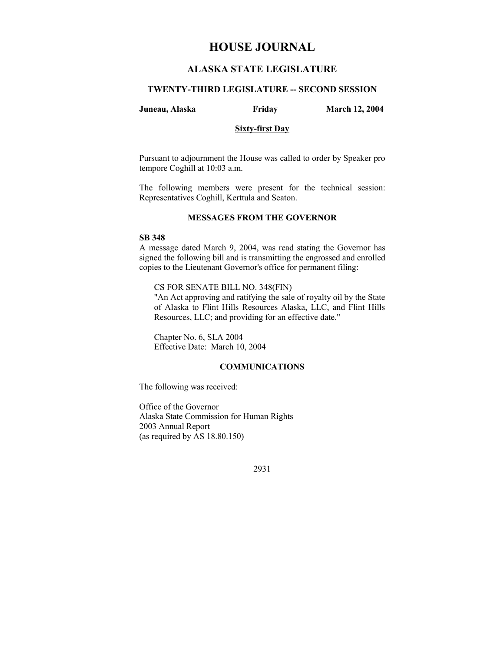# **HOUSE JOURNAL**

## **ALASKA STATE LEGISLATURE**

### **TWENTY-THIRD LEGISLATURE -- SECOND SESSION**

#### **Juneau, Alaska Friday March 12, 2004**

#### **Sixty-first Day**

Pursuant to adjournment the House was called to order by Speaker pro tempore Coghill at 10:03 a.m.

The following members were present for the technical session: Representatives Coghill, Kerttula and Seaton.

#### **MESSAGES FROM THE GOVERNOR**

### **SB 348**

A message dated March 9, 2004, was read stating the Governor has signed the following bill and is transmitting the engrossed and enrolled copies to the Lieutenant Governor's office for permanent filing:

CS FOR SENATE BILL NO. 348(FIN)

"An Act approving and ratifying the sale of royalty oil by the State of Alaska to Flint Hills Resources Alaska, LLC, and Flint Hills Resources, LLC; and providing for an effective date."

Chapter No. 6, SLA 2004 Effective Date: March 10, 2004

### **COMMUNICATIONS**

The following was received:

Office of the Governor Alaska State Commission for Human Rights 2003 Annual Report (as required by AS 18.80.150)

2931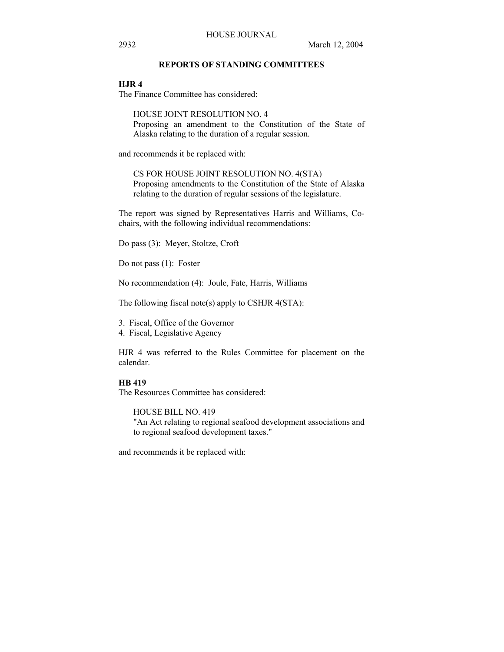### **REPORTS OF STANDING COMMITTEES**

### **HJR 4**

The Finance Committee has considered:

HOUSE JOINT RESOLUTION NO. 4 Proposing an amendment to the Constitution of the State of Alaska relating to the duration of a regular session.

and recommends it be replaced with:

CS FOR HOUSE JOINT RESOLUTION NO. 4(STA) Proposing amendments to the Constitution of the State of Alaska relating to the duration of regular sessions of the legislature.

The report was signed by Representatives Harris and Williams, Cochairs, with the following individual recommendations:

Do pass (3): Meyer, Stoltze, Croft

Do not pass (1): Foster

No recommendation (4): Joule, Fate, Harris, Williams

The following fiscal note(s) apply to CSHJR 4(STA):

3. Fiscal, Office of the Governor

4. Fiscal, Legislative Agency

HJR 4 was referred to the Rules Committee for placement on the calendar.

### **HB 419**

The Resources Committee has considered:

HOUSE BILL NO. 419 "An Act relating to regional seafood development associations and to regional seafood development taxes."

and recommends it be replaced with: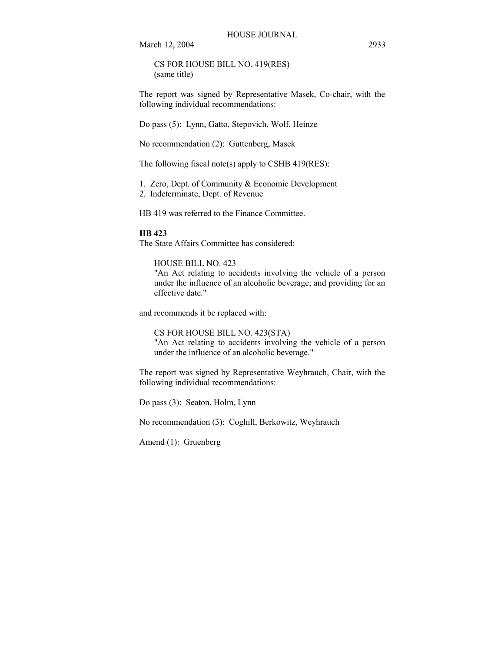March 12, 2004 2933

CS FOR HOUSE BILL NO. 419(RES) (same title)

The report was signed by Representative Masek, Co-chair, with the following individual recommendations:

Do pass (5): Lynn, Gatto, Stepovich, Wolf, Heinze

No recommendation (2): Guttenberg, Masek

The following fiscal note(s) apply to CSHB 419(RES):

1. Zero, Dept. of Community & Economic Development

2. Indeterminate, Dept. of Revenue

HB 419 was referred to the Finance Committee.

#### **HB 423**

The State Affairs Committee has considered:

### HOUSE BILL NO. 423

"An Act relating to accidents involving the vehicle of a person under the influence of an alcoholic beverage; and providing for an effective date."

and recommends it be replaced with:

CS FOR HOUSE BILL NO. 423(STA) "An Act relating to accidents involving the vehicle of a person under the influence of an alcoholic beverage."

The report was signed by Representative Weyhrauch, Chair, with the following individual recommendations:

Do pass (3): Seaton, Holm, Lynn

No recommendation (3): Coghill, Berkowitz, Weyhrauch

Amend (1): Gruenberg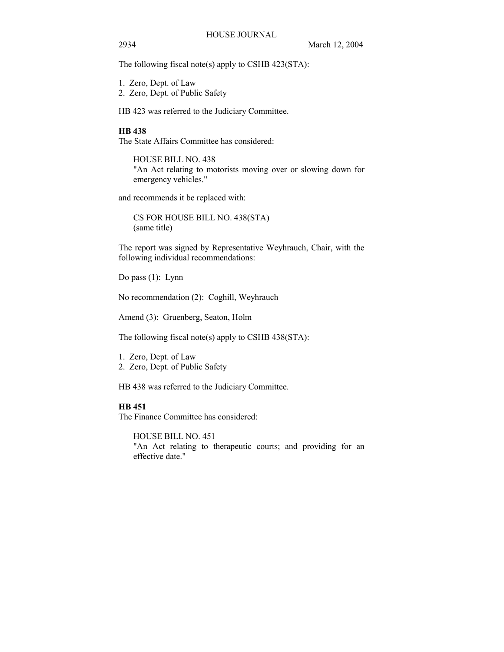The following fiscal note(s) apply to CSHB 423(STA):

- 1. Zero, Dept. of Law
- 2. Zero, Dept. of Public Safety

HB 423 was referred to the Judiciary Committee.

### **HB 438**

The State Affairs Committee has considered:

HOUSE BILL NO. 438 "An Act relating to motorists moving over or slowing down for emergency vehicles."

and recommends it be replaced with:

CS FOR HOUSE BILL NO. 438(STA) (same title)

The report was signed by Representative Weyhrauch, Chair, with the following individual recommendations:

Do pass (1): Lynn

No recommendation (2): Coghill, Weyhrauch

Amend (3): Gruenberg, Seaton, Holm

The following fiscal note(s) apply to CSHB 438(STA):

- 1. Zero, Dept. of Law
- 2. Zero, Dept. of Public Safety

HB 438 was referred to the Judiciary Committee.

## **HB 451**

The Finance Committee has considered:

HOUSE BILL NO. 451

"An Act relating to therapeutic courts; and providing for an effective date."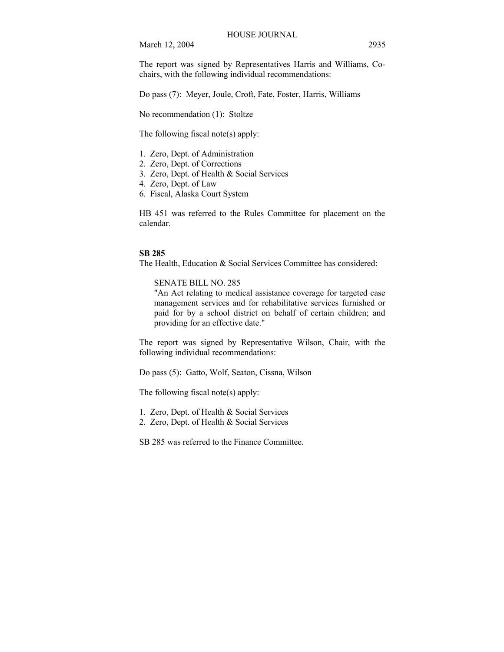March 12, 2004 2935

The report was signed by Representatives Harris and Williams, Cochairs, with the following individual recommendations:

Do pass (7): Meyer, Joule, Croft, Fate, Foster, Harris, Williams

No recommendation (1): Stoltze

The following fiscal note(s) apply:

- 1. Zero, Dept. of Administration
- 2. Zero, Dept. of Corrections
- 3. Zero, Dept. of Health & Social Services
- 4. Zero, Dept. of Law
- 6. Fiscal, Alaska Court System

HB 451 was referred to the Rules Committee for placement on the calendar.

#### **SB 285**

The Health, Education & Social Services Committee has considered:

SENATE BILL NO. 285

"An Act relating to medical assistance coverage for targeted case management services and for rehabilitative services furnished or paid for by a school district on behalf of certain children; and providing for an effective date."

The report was signed by Representative Wilson, Chair, with the following individual recommendations:

Do pass (5): Gatto, Wolf, Seaton, Cissna, Wilson

The following fiscal note(s) apply:

- 1. Zero, Dept. of Health & Social Services
- 2. Zero, Dept. of Health & Social Services

SB 285 was referred to the Finance Committee.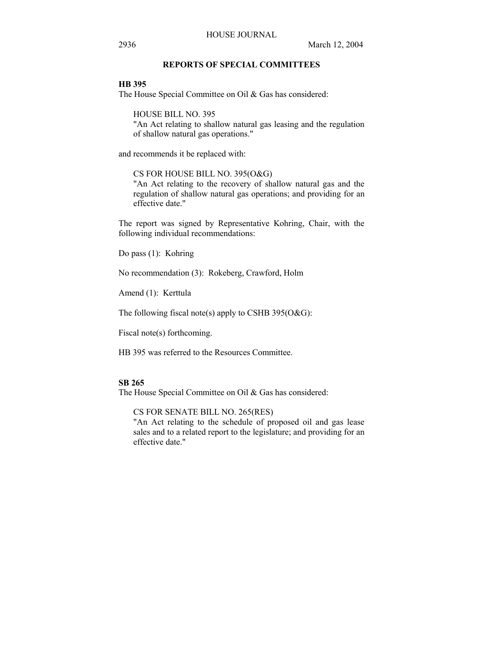### **REPORTS OF SPECIAL COMMITTEES**

**HB 395**

The House Special Committee on Oil & Gas has considered:

HOUSE BILL NO. 395

"An Act relating to shallow natural gas leasing and the regulation of shallow natural gas operations."

and recommends it be replaced with:

CS FOR HOUSE BILL NO. 395(O&G)

"An Act relating to the recovery of shallow natural gas and the regulation of shallow natural gas operations; and providing for an effective date."

The report was signed by Representative Kohring, Chair, with the following individual recommendations:

Do pass (1): Kohring

No recommendation (3): Rokeberg, Crawford, Holm

Amend (1): Kerttula

The following fiscal note(s) apply to CSHB 395(O&G):

Fiscal note(s) forthcoming.

HB 395 was referred to the Resources Committee.

## **SB 265**

The House Special Committee on Oil & Gas has considered:

CS FOR SENATE BILL NO. 265(RES)

"An Act relating to the schedule of proposed oil and gas lease sales and to a related report to the legislature; and providing for an effective date."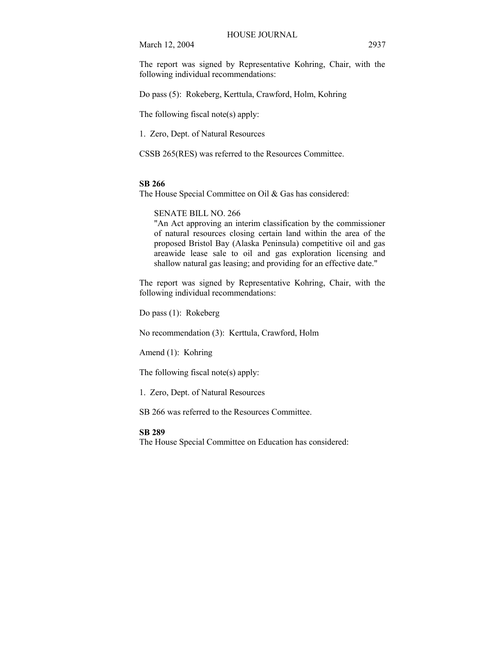March 12, 2004 2937

The report was signed by Representative Kohring, Chair, with the following individual recommendations:

Do pass (5): Rokeberg, Kerttula, Crawford, Holm, Kohring

The following fiscal note(s) apply:

1. Zero, Dept. of Natural Resources

CSSB 265(RES) was referred to the Resources Committee.

#### **SB 266**

The House Special Committee on Oil & Gas has considered:

SENATE BILL NO. 266

"An Act approving an interim classification by the commissioner of natural resources closing certain land within the area of the proposed Bristol Bay (Alaska Peninsula) competitive oil and gas areawide lease sale to oil and gas exploration licensing and shallow natural gas leasing; and providing for an effective date."

The report was signed by Representative Kohring, Chair, with the following individual recommendations:

Do pass (1): Rokeberg

No recommendation (3): Kerttula, Crawford, Holm

Amend (1): Kohring

The following fiscal note(s) apply:

1. Zero, Dept. of Natural Resources

SB 266 was referred to the Resources Committee.

#### **SB 289**

The House Special Committee on Education has considered: